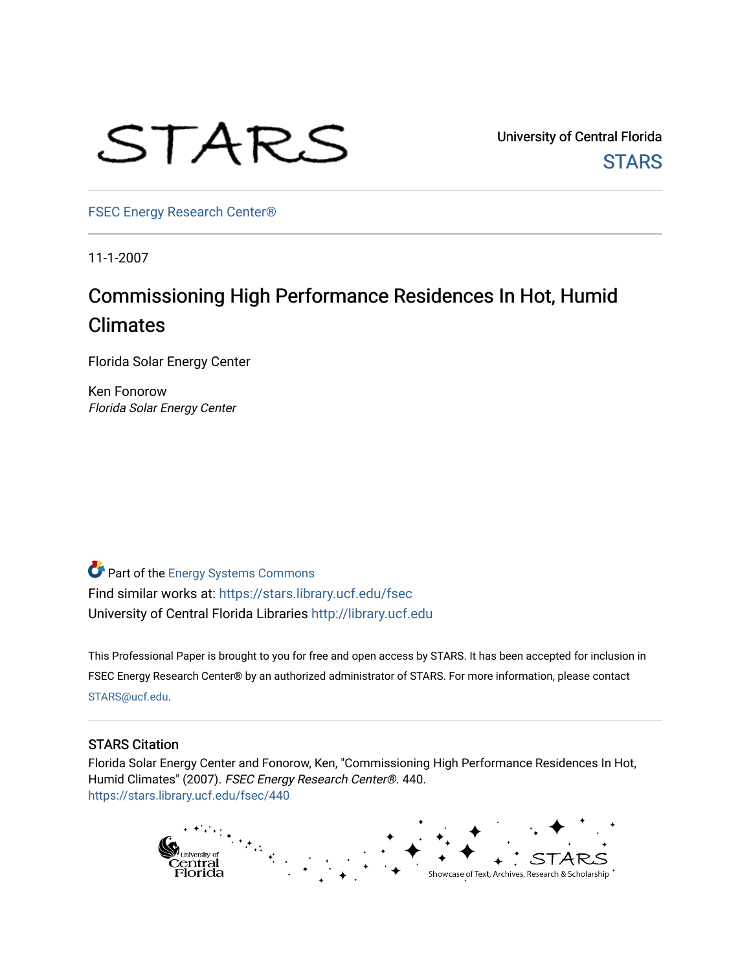

University of Central Florida **STARS** 

[FSEC Energy Research Center®](https://stars.library.ucf.edu/fsec) 

11-1-2007

# Commissioning High Performance Residences In Hot, Humid Climates

Florida Solar Energy Center

Ken Fonorow Florida Solar Energy Center

Part of the [Energy Systems Commons](http://network.bepress.com/hgg/discipline/299?utm_source=stars.library.ucf.edu%2Ffsec%2F440&utm_medium=PDF&utm_campaign=PDFCoverPages)  Find similar works at: <https://stars.library.ucf.edu/fsec> University of Central Florida Libraries [http://library.ucf.edu](http://library.ucf.edu/) 

This Professional Paper is brought to you for free and open access by STARS. It has been accepted for inclusion in FSEC Energy Research Center® by an authorized administrator of STARS. For more information, please contact [STARS@ucf.edu](mailto:STARS@ucf.edu).

# STARS Citation

Florida Solar Energy Center and Fonorow, Ken, "Commissioning High Performance Residences In Hot, Humid Climates" (2007). FSEC Energy Research Center®. 440. [https://stars.library.ucf.edu/fsec/440](https://stars.library.ucf.edu/fsec/440?utm_source=stars.library.ucf.edu%2Ffsec%2F440&utm_medium=PDF&utm_campaign=PDFCoverPages)

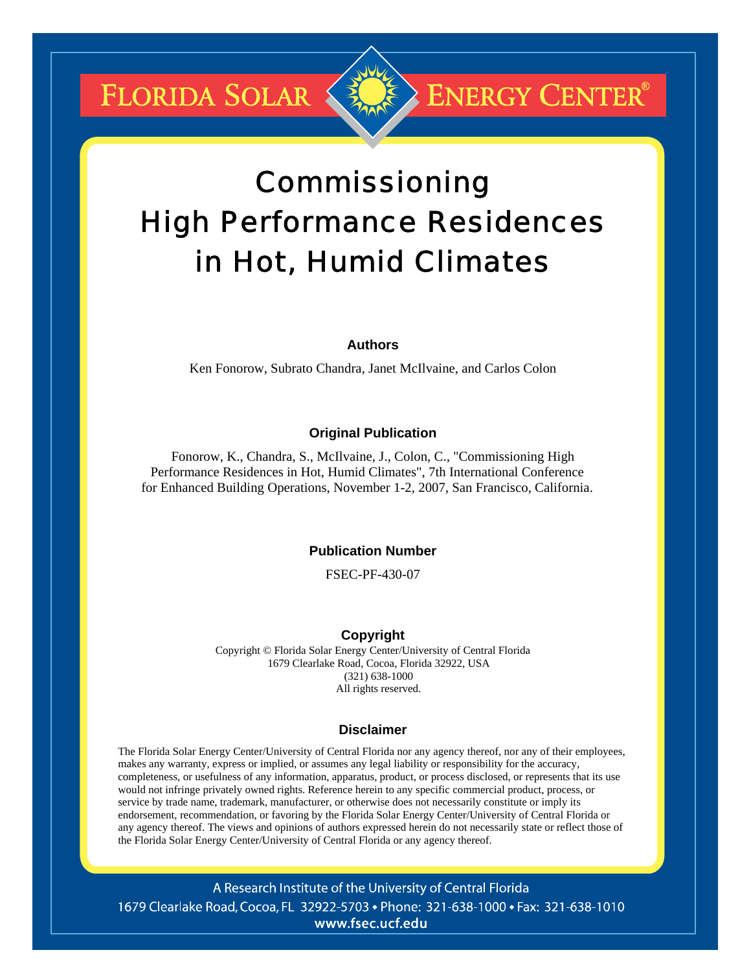**FLORIDA SOLAR &** 

# Commissioning High Performance Residences in Hot, Humid Climates

**ENERGY CENTER®** 

# **Authors**

Ken Fonorow, Subrato Chandra, Janet McIlvaine, and Carlos Colon

# **Original Publication**

Fonorow, K., Chandra, S., McIlvaine, J., Colon, C., "Commissioning High Performance Residences in Hot, Humid Climates", 7th International Conference for Enhanced Building Operations, November 1-2, 2007, San Francisco, California.

# **Publication Number**

FSEC-PF-430-07

# **Copyright**

Copyright © Florida Solar Energy Center/University of Central Florida 1679 Clearlake Road, Cocoa, Florida 32922, USA (321) 638-1000 All rights reserved.

#### **Disclaimer**

The Florida Solar Energy Center/University of Central Florida nor any agency thereof, nor any of their employees, makes any warranty, express or implied, or assumes any legal liability or responsibility for the accuracy, completeness, or usefulness of any information, apparatus, product, or process disclosed, or represents that its use would not infringe privately owned rights. Reference herein to any specific commercial product, process, or service by trade name, trademark, manufacturer, or otherwise does not necessarily constitute or imply its endorsement, recommendation, or favoring by the Florida Solar Energy Center/University of Central Florida or any agency thereof. The views and opinions of authors expressed herein do not necessarily state or reflect those of the Florida Solar Energy Center/University of Central Florida or any agency thereof.

A Research Institute of the University of Central Florida 1679 Clearlake Road, Cocoa, FL 32922-5703 • Phone: 321-638-1000 • Fax: 321-638-1010 www.fsec.ucf.edu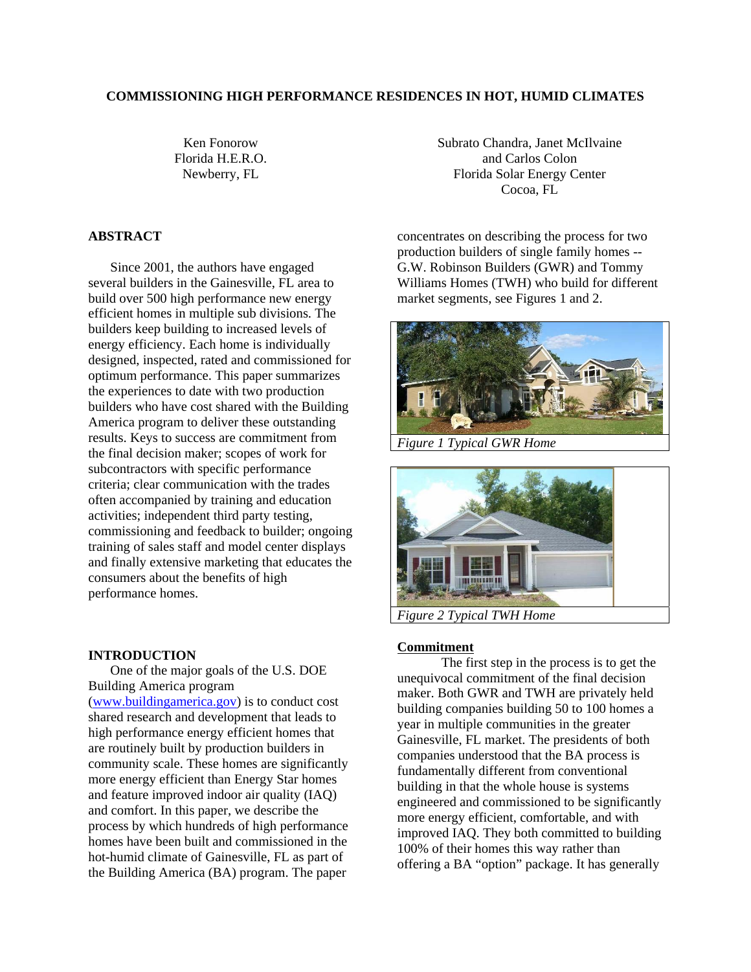#### **COMMISSIONING HIGH PERFORMANCE RESIDENCES IN HOT, HUMID CLIMATES**

Ken Fonorow Florida H.E.R.O. Newberry, FL

# **ABSTRACT**

Since 2001, the authors have engaged several builders in the Gainesville, FL area to build over 500 high performance new energy efficient homes in multiple sub divisions. The builders keep building to increased levels of energy efficiency. Each home is individually designed, inspected, rated and commissioned for optimum performance. This paper summarizes the experiences to date with two production builders who have cost shared with the Building America program to deliver these outstanding results. Keys to success are commitment from the final decision maker; scopes of work for subcontractors with specific performance criteria; clear communication with the trades often accompanied by training and education activities; independent third party testing, commissioning and feedback to builder; ongoing training of sales staff and model center displays and finally extensive marketing that educates the consumers about the benefits of high performance homes.

# **INTRODUCTION**

One of the major goals of the U.S. DOE Building America program

(www.buildingamerica.gov) is to conduct cost shared research and development that leads to high performance energy efficient homes that are routinely built by production builders in community scale. These homes are significantly more energy efficient than Energy Star homes and feature improved indoor air quality (IAQ) and comfort. In this paper, we describe the process by which hundreds of high performance homes have been built and commissioned in the hot-humid climate of Gainesville, FL as part of the Building America (BA) program. The paper

Subrato Chandra, Janet McIlvaine and Carlos Colon Florida Solar Energy Center Cocoa, FL

concentrates on describing the process for two production builders of single family homes -- G.W. Robinson Builders (GWR) and Tommy Williams Homes (TWH) who build for different market segments, see Figures 1 and 2.



*Figure 1 Typical GWR Home*



*Figure 2 Typical TWH Home*

#### **Commitment**

The first step in the process is to get the unequivocal commitment of the final decision maker. Both GWR and TWH are privately held building companies building 50 to 100 homes a year in multiple communities in the greater Gainesville, FL market. The presidents of both companies understood that the BA process is fundamentally different from conventional building in that the whole house is systems engineered and commissioned to be significantly more energy efficient, comfortable, and with improved IAQ. They both committed to building 100% of their homes this way rather than offering a BA "option" package. It has generally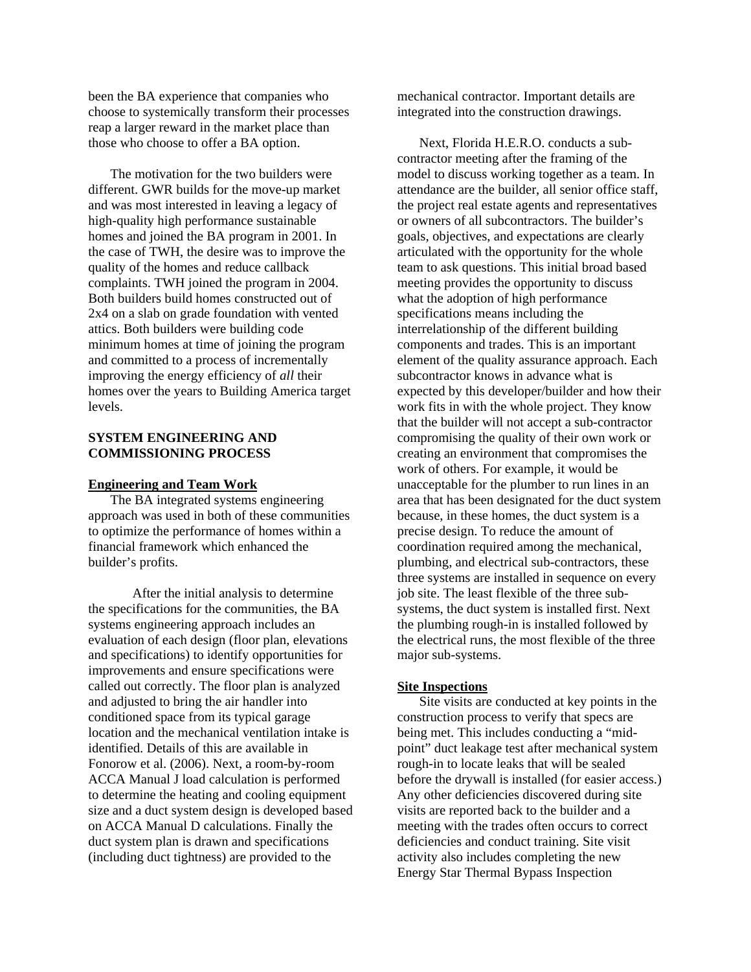been the BA experience that companies who choose to systemically transform their processes reap a larger reward in the market place than those who choose to offer a BA option.

The motivation for the two builders were different. GWR builds for the move-up market and was most interested in leaving a legacy of high-quality high performance sustainable homes and joined the BA program in 2001. In the case of TWH, the desire was to improve the quality of the homes and reduce callback complaints. TWH joined the program in 2004. Both builders build homes constructed out of 2x4 on a slab on grade foundation with vented attics. Both builders were building code minimum homes at time of joining the program and committed to a process of incrementally improving the energy efficiency of *all* their homes over the years to Building America target levels.

# **SYSTEM ENGINEERING AND COMMISSIONING PROCESS**

#### **Engineering and Team Work**

The BA integrated systems engineering approach was used in both of these communities to optimize the performance of homes within a financial framework which enhanced the builder's profits.

After the initial analysis to determine the specifications for the communities, the BA systems engineering approach includes an evaluation of each design (floor plan, elevations and specifications) to identify opportunities for improvements and ensure specifications were called out correctly. The floor plan is analyzed and adjusted to bring the air handler into conditioned space from its typical garage location and the mechanical ventilation intake is identified. Details of this are available in Fonorow et al. (2006). Next, a room-by-room ACCA Manual J load calculation is performed to determine the heating and cooling equipment size and a duct system design is developed based on ACCA Manual D calculations. Finally the duct system plan is drawn and specifications (including duct tightness) are provided to the

mechanical contractor. Important details are integrated into the construction drawings.

Next, Florida H.E.R.O. conducts a subcontractor meeting after the framing of the model to discuss working together as a team. In attendance are the builder, all senior office staff, the project real estate agents and representatives or owners of all subcontractors. The builder's goals, objectives, and expectations are clearly articulated with the opportunity for the whole team to ask questions. This initial broad based meeting provides the opportunity to discuss what the adoption of high performance specifications means including the interrelationship of the different building components and trades. This is an important element of the quality assurance approach. Each subcontractor knows in advance what is expected by this developer/builder and how their work fits in with the whole project. They know that the builder will not accept a sub-contractor compromising the quality of their own work or creating an environment that compromises the work of others. For example, it would be unacceptable for the plumber to run lines in an area that has been designated for the duct system because, in these homes, the duct system is a precise design. To reduce the amount of coordination required among the mechanical, plumbing, and electrical sub-contractors, these three systems are installed in sequence on every job site. The least flexible of the three subsystems, the duct system is installed first. Next the plumbing rough-in is installed followed by the electrical runs, the most flexible of the three major sub-systems.

#### **Site Inspections**

Site visits are conducted at key points in the construction process to verify that specs are being met. This includes conducting a "midpoint" duct leakage test after mechanical system rough-in to locate leaks that will be sealed before the drywall is installed (for easier access.) Any other deficiencies discovered during site visits are reported back to the builder and a meeting with the trades often occurs to correct deficiencies and conduct training. Site visit activity also includes completing the new Energy Star Thermal Bypass Inspection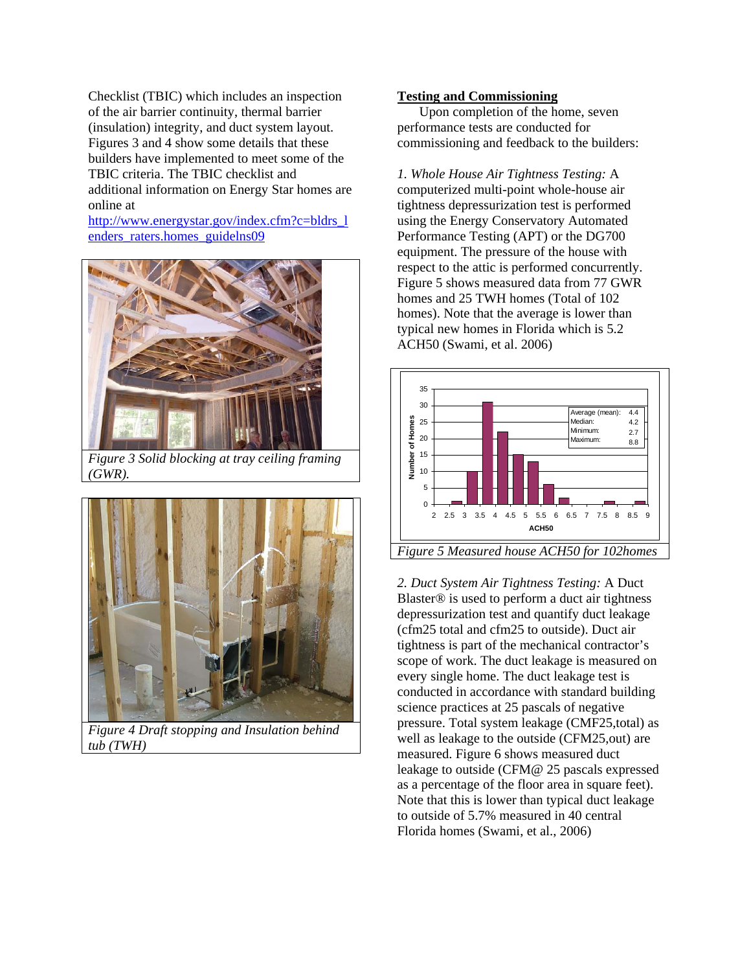Checklist (TBIC) which includes an inspection of the air barrier continuity, thermal barrier (insulation) integrity, and duct system layout. Figures 3 and 4 show some details that these builders have implemented to meet some of the TBIC criteria. The TBIC checklist and additional information on Energy Star homes are online at

http://www.energystar.gov/index.cfm?c=bldrs\_l enders raters.homes guidelns09



*Figure 3 Solid blocking at tray ceiling framing (GWR).*



*Figure 4 Draft stopping and Insulation behind tub (TWH)* 

#### **Testing and Commissioning**

Upon completion of the home, seven performance tests are conducted for commissioning and feedback to the builders:

*1. Whole House Air Tightness Testing:* A computerized multi-point whole-house air tightness depressurization test is performed using the Energy Conservatory Automated Performance Testing (APT) or the DG700 equipment. The pressure of the house with respect to the attic is performed concurrently. Figure 5 shows measured data from 77 GWR homes and 25 TWH homes (Total of 102 homes). Note that the average is lower than typical new homes in Florida which is 5.2 ACH50 (Swami, et al. 2006)



*2. Duct System Air Tightness Testing:* A Duct Blaster® is used to perform a duct air tightness depressurization test and quantify duct leakage (cfm25 total and cfm25 to outside). Duct air tightness is part of the mechanical contractor's scope of work. The duct leakage is measured on every single home. The duct leakage test is conducted in accordance with standard building science practices at 25 pascals of negative pressure. Total system leakage (CMF25,total) as well as leakage to the outside (CFM25,out) are measured. Figure 6 shows measured duct leakage to outside (CFM@ 25 pascals expressed as a percentage of the floor area in square feet). Note that this is lower than typical duct leakage to outside of 5.7% measured in 40 central Florida homes (Swami, et al., 2006)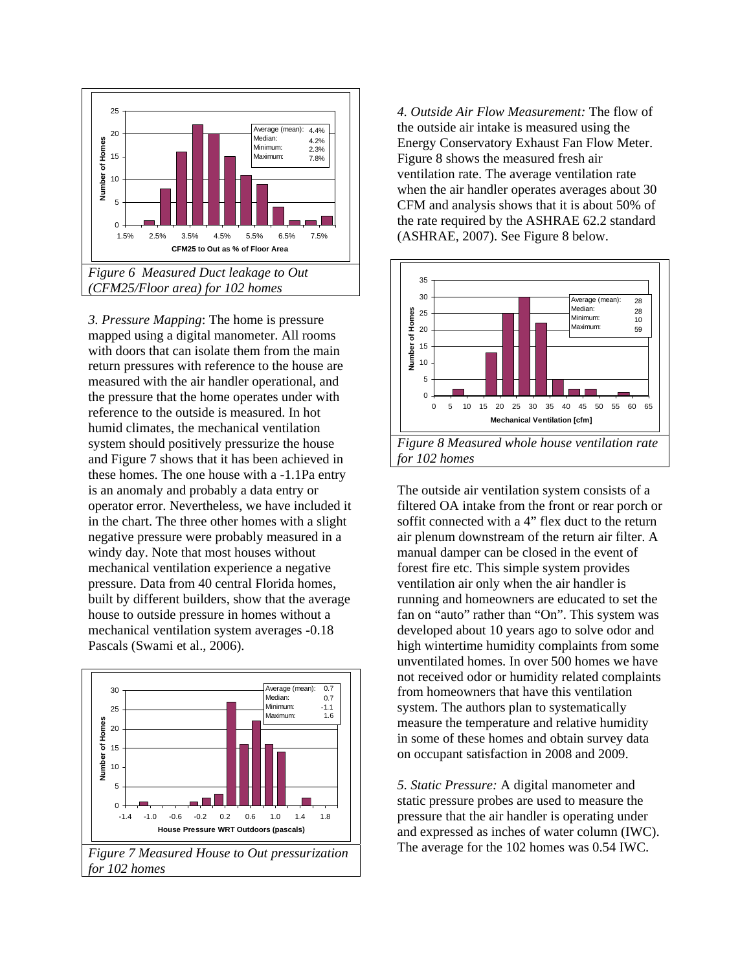

*3. Pressure Mapping*: The home is pressure mapped using a digital manometer. All rooms with doors that can isolate them from the main return pressures with reference to the house are measured with the air handler operational, and the pressure that the home operates under with reference to the outside is measured. In hot humid climates, the mechanical ventilation system should positively pressurize the house and Figure 7 shows that it has been achieved in these homes. The one house with a -1.1Pa entry is an anomaly and probably a data entry or operator error. Nevertheless, we have included it in the chart. The three other homes with a slight negative pressure were probably measured in a windy day. Note that most houses without mechanical ventilation experience a negative pressure. Data from 40 central Florida homes, built by different builders, show that the average house to outside pressure in homes without a mechanical ventilation system averages -0.18 Pascals (Swami et al., 2006).



*4. Outside Air Flow Measurement:* The flow of the outside air intake is measured using the Energy Conservatory Exhaust Fan Flow Meter. Figure 8 shows the measured fresh air ventilation rate. The average ventilation rate when the air handler operates averages about 30 CFM and analysis shows that it is about 50% of the rate required by the ASHRAE 62.2 standard (ASHRAE, 2007). See Figure 8 below.



The outside air ventilation system consists of a filtered OA intake from the front or rear porch or soffit connected with a 4" flex duct to the return air plenum downstream of the return air filter. A manual damper can be closed in the event of forest fire etc. This simple system provides ventilation air only when the air handler is running and homeowners are educated to set the fan on "auto" rather than "On". This system was developed about 10 years ago to solve odor and high wintertime humidity complaints from some unventilated homes. In over 500 homes we have not received odor or humidity related complaints from homeowners that have this ventilation system. The authors plan to systematically measure the temperature and relative humidity in some of these homes and obtain survey data on occupant satisfaction in 2008 and 2009.

*5. Static Pressure:* A digital manometer and static pressure probes are used to measure the pressure that the air handler is operating under and expressed as inches of water column (IWC). The average for the 102 homes was 0.54 IWC.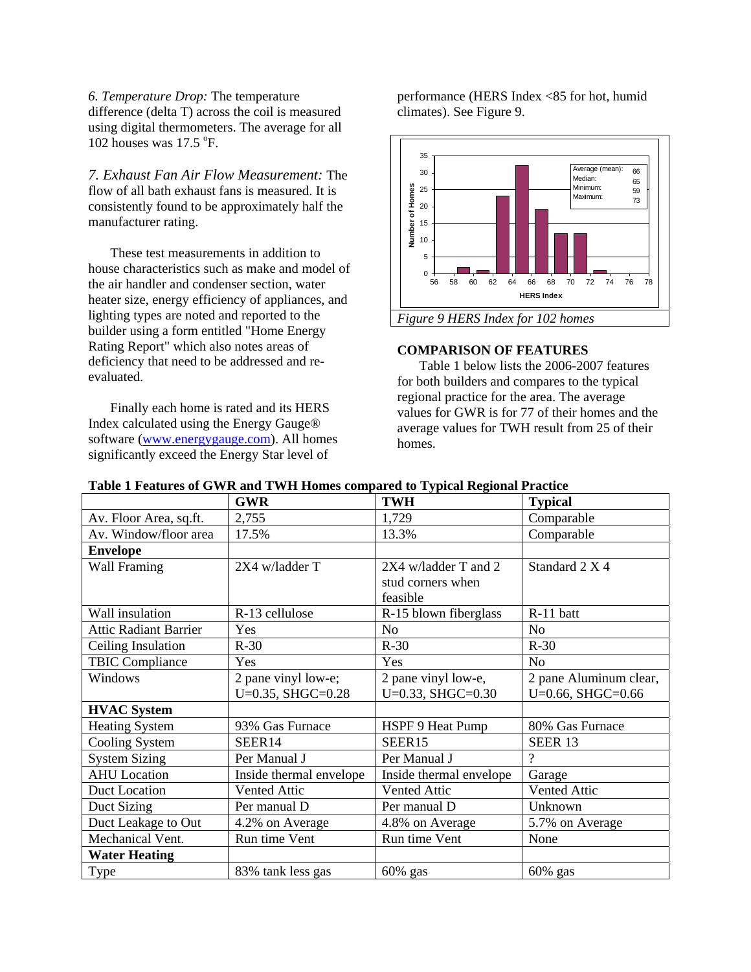*6. Temperature Drop:* The temperature difference (delta T) across the coil is measured using digital thermometers. The average for all 102 houses was  $17.5$  °F.

*7. Exhaust Fan Air Flow Measurement:* The flow of all bath exhaust fans is measured. It is consistently found to be approximately half the manufacturer rating.

These test measurements in addition to house characteristics such as make and model of the air handler and condenser section, water heater size, energy efficiency of appliances, and lighting types are noted and reported to the builder using a form entitled "Home Energy Rating Report" which also notes areas of deficiency that need to be addressed and reevaluated.

Finally each home is rated and its HERS Index calculated using the Energy Gauge® software (www.energygauge.com). All homes significantly exceed the Energy Star level of

performance (HERS Index <85 for hot, humid climates). See Figure 9.



#### **COMPARISON OF FEATURES**

Table 1 below lists the 2006-2007 features for both builders and compares to the typical regional practice for the area. The average values for GWR is for 77 of their homes and the average values for TWH result from 25 of their homes.

|                              | <b>GWR</b>                       | <b>TWH</b>                       | <b>Typical</b>         |
|------------------------------|----------------------------------|----------------------------------|------------------------|
| Av. Floor Area, sq.ft.       | 2,755                            | 1,729                            | Comparable             |
| Av. Window/floor area        | 17.5%                            | 13.3%                            | Comparable             |
| <b>Envelope</b>              |                                  |                                  |                        |
| Wall Framing                 | 2X4 w/ladder T                   | $2X4$ w/ladder T and 2           | Standard 2 X 4         |
|                              |                                  | stud corners when                |                        |
|                              |                                  | feasible                         |                        |
| Wall insulation              | R-13 cellulose                   | R-15 blown fiberglass            | R-11 batt              |
| <b>Attic Radiant Barrier</b> | Yes                              | N <sub>o</sub>                   | N <sub>o</sub>         |
| Ceiling Insulation           | $R-30$                           | $R-30$                           | $R-30$                 |
| <b>TBIC Compliance</b>       | Yes                              | Yes                              | N <sub>o</sub>         |
| Windows                      | $\overline{2}$ pane vinyl low-e; | $\overline{2}$ pane vinyl low-e, | 2 pane Aluminum clear, |
|                              | $U=0.35$ , SHGC=0.28             | $U=0.33, SHGC=0.30$              | $U=0.66$ , SHGC=0.66   |
| <b>HVAC System</b>           |                                  |                                  |                        |
| <b>Heating System</b>        | 93% Gas Furnace                  | HSPF 9 Heat Pump                 | 80% Gas Furnace        |
| Cooling System               | SEER14                           | SEER15                           | <b>SEER 13</b>         |
| <b>System Sizing</b>         | Per Manual J                     | Per Manual J                     | ?                      |
| <b>AHU</b> Location          | Inside thermal envelope          | Inside thermal envelope          | Garage                 |
| Duct Location                | Vented Attic                     | <b>Vented Attic</b>              | <b>Vented Attic</b>    |
| Duct Sizing                  | Per manual D                     | Per manual D                     | Unknown                |
| Duct Leakage to Out          | 4.2% on Average                  | 4.8% on Average                  | 5.7% on Average        |
| Mechanical Vent.             | Run time Vent                    | Run time Vent                    | None                   |
| <b>Water Heating</b>         |                                  |                                  |                        |
| Type                         | 83% tank less gas                | 60% gas                          | 60% gas                |

#### **Table 1 Features of GWR and TWH Homes compared to Typical Regional Practice**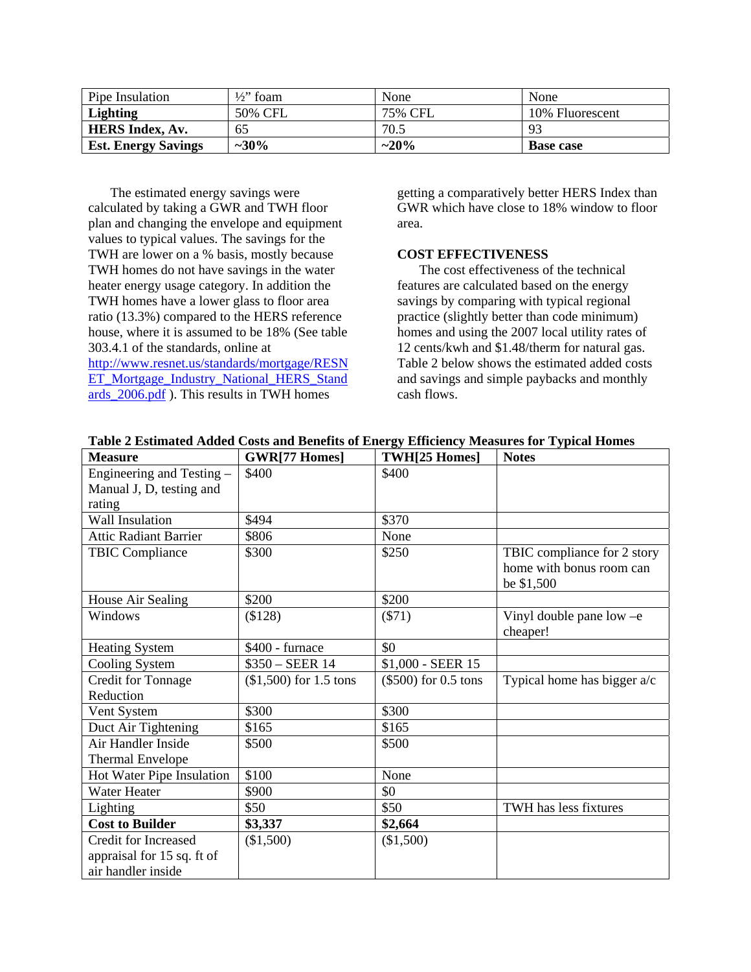| Pipe Insulation            | $\frac{1}{2}$ foam | None    | None             |
|----------------------------|--------------------|---------|------------------|
| <b>Lighting</b>            | 50% CFL            | 75% CFL | 10% Fluorescent  |
| <b>HERS Index, Av.</b>     | 65                 | 70.5    | -92              |
| <b>Est. Energy Savings</b> | $~10\%$            | $~20\%$ | <b>Base case</b> |

The estimated energy savings were calculated by taking a GWR and TWH floor plan and changing the envelope and equipment values to typical values. The savings for the TWH are lower on a % basis, mostly because TWH homes do not have savings in the water heater energy usage category. In addition the TWH homes have a lower glass to floor area ratio (13.3%) compared to the HERS reference house, where it is assumed to be 18% (See table 303.4.1 of the standards, online at

http://www.resnet.us/standards/mortgage/RESN ET\_Mortgage\_Industry\_National\_HERS\_Stand ards\_2006.pdf ). This results in TWH homes

getting a comparatively better HERS Index than GWR which have close to 18% window to floor area.

# **COST EFFECTIVENESS**

The cost effectiveness of the technical features are calculated based on the energy savings by comparing with typical regional practice (slightly better than code minimum) homes and using the 2007 local utility rates of 12 cents/kwh and \$1.48/therm for natural gas. Table 2 below shows the estimated added costs and savings and simple paybacks and monthly cash flows.

| <b>Measure</b>               | <b>GWR[77 Homes]</b>    | TWH[25 Homes]        | <b>Notes</b>                  |
|------------------------------|-------------------------|----------------------|-------------------------------|
| Engineering and Testing -    | \$400                   | \$400                |                               |
| Manual J, D, testing and     |                         |                      |                               |
| rating                       |                         |                      |                               |
| Wall Insulation              | \$494                   | \$370                |                               |
| <b>Attic Radiant Barrier</b> | \$806                   | None                 |                               |
| <b>TBIC Compliance</b>       | \$300                   | \$250                | TBIC compliance for 2 story   |
|                              |                         |                      | home with bonus room can      |
|                              |                         |                      | be \$1,500                    |
| House Air Sealing            | \$200                   | \$200                |                               |
| Windows                      | (\$128)                 | $(\$71)$             | Vinyl double pane low $-e$    |
|                              |                         |                      | cheaper!                      |
| <b>Heating System</b>        | \$400 - furnace         | \$0                  |                               |
| Cooling System               | $$350 - SEER$ 14        | \$1,000 - SEER 15    |                               |
| Credit for Tonnage           | $($1,500)$ for 1.5 tons | (\$500) for 0.5 tons | Typical home has bigger $a/c$ |
| Reduction                    |                         |                      |                               |
| Vent System                  | \$300                   | \$300                |                               |
| Duct Air Tightening          | \$165                   | \$165                |                               |
| Air Handler Inside           | \$500                   | \$500                |                               |
| <b>Thermal Envelope</b>      |                         |                      |                               |
| Hot Water Pipe Insulation    | \$100                   | None                 |                               |
| Water Heater                 | \$900                   | \$0                  |                               |
| Lighting                     | \$50                    | \$50                 | TWH has less fixtures         |
| <b>Cost to Builder</b>       | \$3,337                 | \$2,664              |                               |
| <b>Credit for Increased</b>  | (\$1,500)               | (\$1,500)            |                               |
| appraisal for 15 sq. ft of   |                         |                      |                               |
| air handler inside           |                         |                      |                               |

**Table 2 Estimated Added Costs and Benefits of Energy Efficiency Measures for Typical Homes**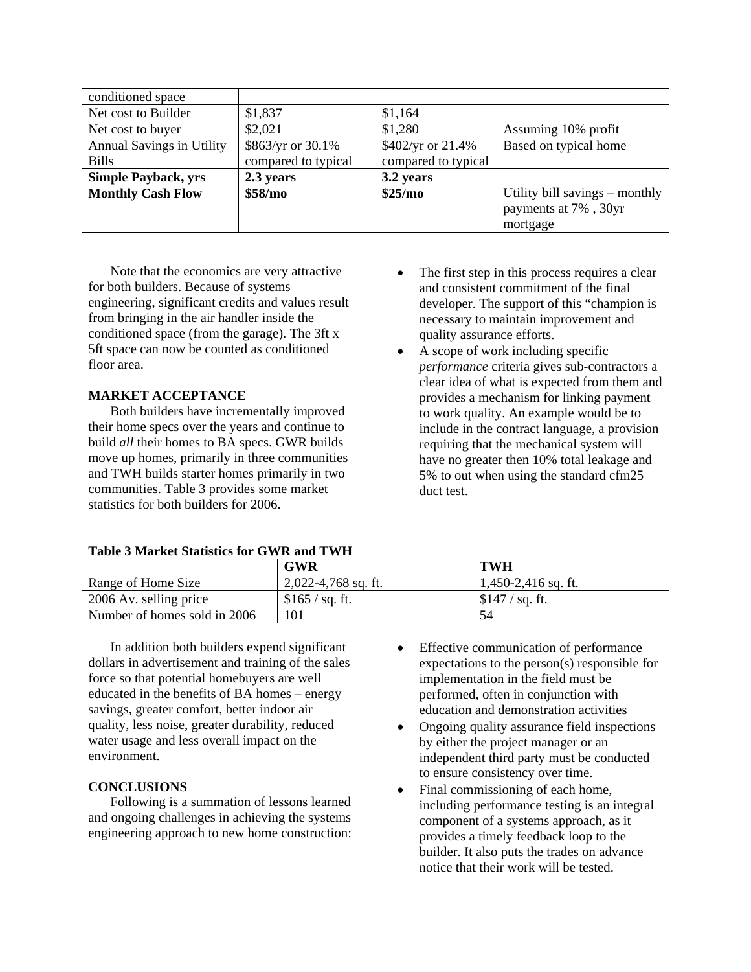| conditioned space                |                     |                     |                                |
|----------------------------------|---------------------|---------------------|--------------------------------|
| Net cost to Builder              | \$1,837             | \$1,164             |                                |
| Net cost to buyer                | \$2,021             | \$1,280             | Assuming 10% profit            |
| <b>Annual Savings in Utility</b> | \$863/yr or 30.1%   | \$402/yr or 21.4%   | Based on typical home          |
| <b>Bills</b>                     | compared to typical | compared to typical |                                |
| <b>Simple Payback, yrs</b>       | 2.3 years           | 3.2 years           |                                |
| <b>Monthly Cash Flow</b>         | \$58/mo             | \$25/mo             | Utility bill savings – monthly |
|                                  |                     |                     | payments at 7%, 30yr           |
|                                  |                     |                     | mortgage                       |

Note that the economics are very attractive for both builders. Because of systems engineering, significant credits and values result from bringing in the air handler inside the conditioned space (from the garage). The 3ft x 5ft space can now be counted as conditioned floor area.

# **MARKET ACCEPTANCE**

Both builders have incrementally improved their home specs over the years and continue to build *all* their homes to BA specs. GWR builds move up homes, primarily in three communities and TWH builds starter homes primarily in two communities. Table 3 provides some market statistics for both builders for 2006.

- The first step in this process requires a clear and consistent commitment of the final developer. The support of this "champion is necessary to maintain improvement and quality assurance efforts.
- A scope of work including specific *performance* criteria gives sub-contractors a clear idea of what is expected from them and provides a mechanism for linking payment to work quality. An example would be to include in the contract language, a provision requiring that the mechanical system will have no greater then 10% total leakage and 5% to out when using the standard cfm25 duct test.

| Table 3 Market Statistics for GWR and TWH |  |  |  |  |  |
|-------------------------------------------|--|--|--|--|--|
|-------------------------------------------|--|--|--|--|--|

|                                | <b>GWR</b>            | <b>TWH</b>          |
|--------------------------------|-----------------------|---------------------|
| Range of Home Size             | $2,022-4,768$ sq. ft. | 1,450-2,416 sq. ft. |
| $\vert$ 2006 Av. selling price | \$165 / sq. ft.       | \$147 / sq. ft.     |
| Number of homes sold in 2006   | 101                   | 54                  |

In addition both builders expend significant dollars in advertisement and training of the sales force so that potential homebuyers are well educated in the benefits of BA homes – energy savings, greater comfort, better indoor air quality, less noise, greater durability, reduced water usage and less overall impact on the environment.

# **CONCLUSIONS**

Following is a summation of lessons learned and ongoing challenges in achieving the systems engineering approach to new home construction:

- Effective communication of performance expectations to the person(s) responsible for implementation in the field must be performed, often in conjunction with education and demonstration activities
- Ongoing quality assurance field inspections by either the project manager or an independent third party must be conducted to ensure consistency over time.
- Final commissioning of each home, including performance testing is an integral component of a systems approach, as it provides a timely feedback loop to the builder. It also puts the trades on advance notice that their work will be tested.